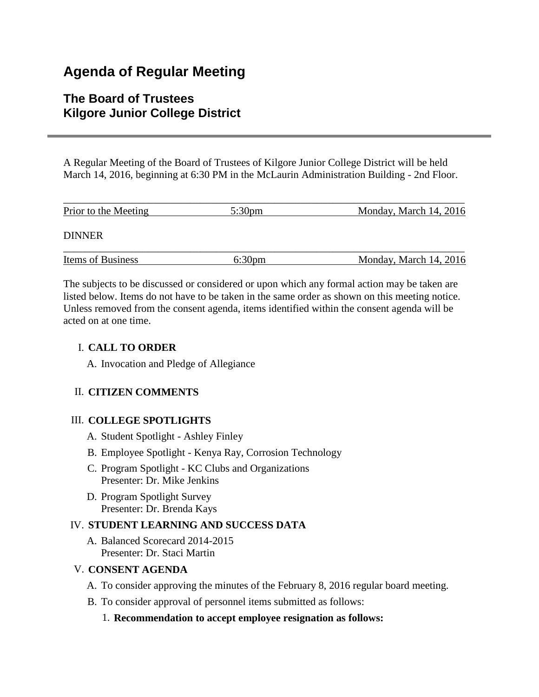# **Agenda of Regular Meeting**

## **The Board of Trustees Kilgore Junior College District**

A Regular Meeting of the Board of Trustees of Kilgore Junior College District will be held March 14, 2016, beginning at 6:30 PM in the McLaurin Administration Building - 2nd Floor.

| Prior to the Meeting | 5:30 <sub>pm</sub> | Monday, March 14, 2016 |
|----------------------|--------------------|------------------------|
| <b>DINNER</b>        |                    |                        |
| Items of Business    | 6:30 <sub>pm</sub> | Monday, March 14, 2016 |

The subjects to be discussed or considered or upon which any formal action may be taken are listed below. Items do not have to be taken in the same order as shown on this meeting notice. Unless removed from the consent agenda, items identified within the consent agenda will be acted on at one time.

## I. **CALL TO ORDER**

A. Invocation and Pledge of Allegiance

## II. **CITIZEN COMMENTS**

## III. **COLLEGE SPOTLIGHTS**

- A. Student Spotlight Ashley Finley
- B. Employee Spotlight Kenya Ray, Corrosion Technology
- C. Program Spotlight KC Clubs and Organizations Presenter: Dr. Mike Jenkins
- D. Program Spotlight Survey Presenter: Dr. Brenda Kays

## IV. **STUDENT LEARNING AND SUCCESS DATA**

A. Balanced Scorecard 2014-2015 Presenter: Dr. Staci Martin

## V. **CONSENT AGENDA**

- A. To consider approving the minutes of the February 8, 2016 regular board meeting.
- B. To consider approval of personnel items submitted as follows:
	- 1. **Recommendation to accept employee resignation as follows:**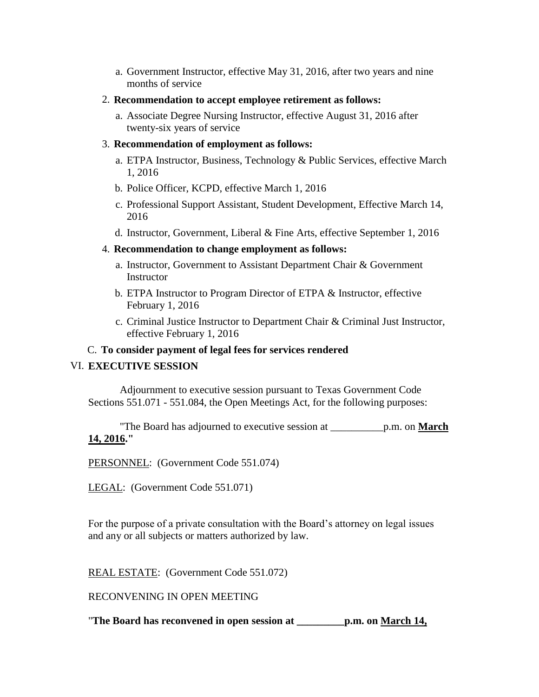- a. Government Instructor, effective May 31, 2016, after two years and nine months of service
- 2. **Recommendation to accept employee retirement as follows:**
	- a. Associate Degree Nursing Instructor, effective August 31, 2016 after twenty-six years of service

#### 3. **Recommendation of employment as follows:**

- a. ETPA Instructor, Business, Technology & Public Services, effective March 1, 2016
- b. Police Officer, KCPD, effective March 1, 2016
- c. Professional Support Assistant, Student Development, Effective March 14, 2016
- d. Instructor, Government, Liberal & Fine Arts, effective September 1, 2016

#### 4. **Recommendation to change employment as follows:**

- a. Instructor, Government to Assistant Department Chair & Government **Instructor**
- b. ETPA Instructor to Program Director of ETPA & Instructor, effective February 1, 2016
- c. Criminal Justice Instructor to Department Chair & Criminal Just Instructor, effective February 1, 2016

#### C. **To consider payment of legal fees for services rendered**

#### VI. **EXECUTIVE SESSION**

 Adjournment to executive session pursuant to Texas Government Code Sections 551.071 - 551.084, the Open Meetings Act, for the following purposes:

 "The Board has adjourned to executive session at \_\_\_\_\_\_\_\_\_\_p.m. on **March 14, 2016."**

PERSONNEL: (Government Code 551.074)

LEGAL: (Government Code 551.071)

For the purpose of a private consultation with the Board's attorney on legal issues and any or all subjects or matters authorized by law.

REAL ESTATE: (Government Code 551.072)

RECONVENING IN OPEN MEETING

"**The Board has reconvened in open session at \_\_\_\_\_\_\_\_\_p.m. on March 14,**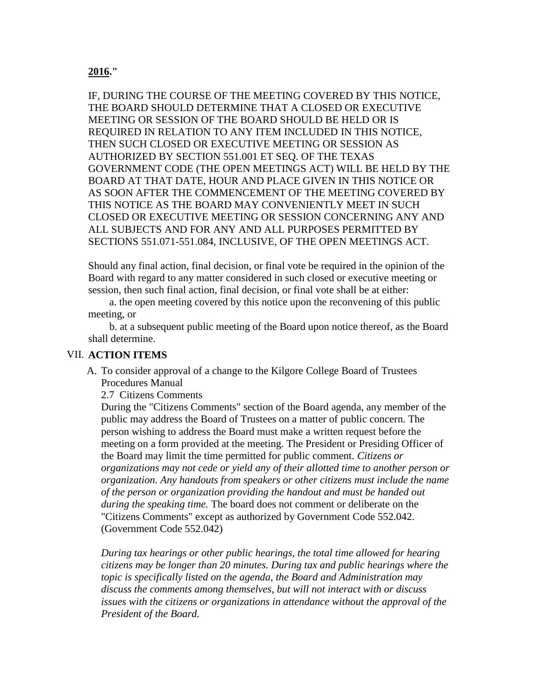## **2016."**

IF, DURING THE COURSE OF THE MEETING COVERED BY THIS NOTICE, THE BOARD SHOULD DETERMINE THAT A CLOSED OR EXECUTIVE MEETING OR SESSION OF THE BOARD SHOULD BE HELD OR IS REQUIRED IN RELATION TO ANY ITEM INCLUDED IN THIS NOTICE, THEN SUCH CLOSED OR EXECUTIVE MEETING OR SESSION AS AUTHORIZED BY SECTION 551.001 ET SEQ. OF THE TEXAS GOVERNMENT CODE (THE OPEN MEETINGS ACT) WILL BE HELD BY THE BOARD AT THAT DATE, HOUR AND PLACE GIVEN IN THIS NOTICE OR AS SOON AFTER THE COMMENCEMENT OF THE MEETING COVERED BY THIS NOTICE AS THE BOARD MAY CONVENIENTLY MEET IN SUCH CLOSED OR EXECUTIVE MEETING OR SESSION CONCERNING ANY AND ALL SUBJECTS AND FOR ANY AND ALL PURPOSES PERMITTED BY SECTIONS 551.071-551.084, INCLUSIVE, OF THE OPEN MEETINGS ACT.

Should any final action, final decision, or final vote be required in the opinion of the Board with regard to any matter considered in such closed or executive meeting or session, then such final action, final decision, or final vote shall be at either:

 a. the open meeting covered by this notice upon the reconvening of this public meeting, or

 b. at a subsequent public meeting of the Board upon notice thereof, as the Board shall determine.

#### VII. **ACTION ITEMS**

A. To consider approval of a change to the Kilgore College Board of Trustees Procedures Manual

2.7 Citizens Comments

During the "Citizens Comments" section of the Board agenda, any member of the public may address the Board of Trustees on a matter of public concern. The person wishing to address the Board must make a written request before the meeting on a form provided at the meeting. The President or Presiding Officer of the Board may limit the time permitted for public comment. *Citizens or organizations may not cede or yield any of their allotted time to another person or organization. Any handouts from speakers or other citizens must include the name of the person or organization providing the handout and must be handed out during the speaking time.* The board does not comment or deliberate on the "Citizens Comments" except as authorized by Government Code 552.042. (Government Code 552.042)

*During tax hearings or other public hearings, the total time allowed for hearing citizens may be longer than 20 minutes. During tax and public hearings where the topic is specifically listed on the agenda, the Board and Administration may discuss the comments among themselves, but will not interact with or discuss issues with the citizens or organizations in attendance without the approval of the President of the Board.*